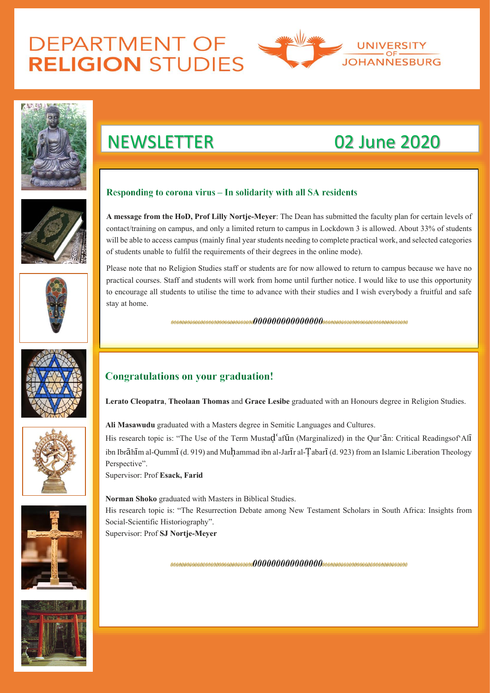## **DEPARTMENT OF RELIGION STUDIES**





## NEWSLETTER 02 June 2020

### Responding to corona virus – In solidarity with all SA residents

**A message from the HoD, Prof Lilly Nortje-Meyer**: The Dean has submitted the faculty plan for certain levels of contact/training on campus, and only a limited return to campus in Lockdown 3 is allowed. About 33% of students will be able to access campus (mainly final year students needing to complete practical work, and selected categories of students unable to fulfil the requirements of their degrees in the online mode).

Please note that no Religion Studies staff or students are for now allowed to return to campus because we have no practical courses. Staff and students will work from home until further notice. I would like to use this opportunity to encourage all students to utilise the time to advance with their studies and I wish everybody a fruitful and safe stay at home.







**Ali Masawudu** graduated with a Masters degree in Semitic Languages and Cultures.

His research topic is: "The Use of the Term Mustad afun (Marginalized) in the Our'an: Critical Readingsof All ibn Ibrāhīm al-Qummī (d. 919) and Muhammad ibn al-Jarīr al-Tabarī (d. 923) from an Islamic Liberation Theology Perspective".

**Lerato Cleopatra**, **Theolaan Thomas** and **Grace Lesibe** graduated with an Honours degree in Religion Studies.

Supervisor: Prof **Esack, Farid**

**Norman Shoko** graduated with Masters in Biblical Studies. His research topic is: "The Resurrection Debate among New Testament Scholars in South Africa: Insights from Social-Scientific Historiography". Supervisor: Prof **SJ Nortje-Meyer**